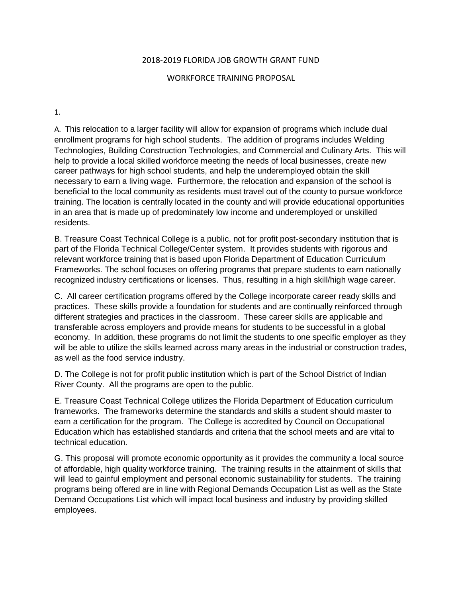## 2018-2019 FLORIDA JOB GROWTH GRANT FUND

## WORKFORCE TRAINING PROPOSAL

1.

A. This relocation to a larger facility will allow for expansion of programs which include dual enrollment programs for high school students. The addition of programs includes Welding Technologies, Building Construction Technologies, and Commercial and Culinary Arts. This will help to provide a local skilled workforce meeting the needs of local businesses, create new career pathways for high school students, and help the underemployed obtain the skill necessary to earn a living wage. Furthermore, the relocation and expansion of the school is beneficial to the local community as residents must travel out of the county to pursue workforce training. The location is centrally located in the county and will provide educational opportunities in an area that is made up of predominately low income and underemployed or unskilled residents.

B. Treasure Coast Technical College is a public, not for profit post-secondary institution that is part of the Florida Technical College/Center system. It provides students with rigorous and relevant workforce training that is based upon Florida Department of Education Curriculum Frameworks. The school focuses on offering programs that prepare students to earn nationally recognized industry certifications or licenses. Thus, resulting in a high skill/high wage career.

C. All career certification programs offered by the College incorporate career ready skills and practices. These skills provide a foundation for students and are continually reinforced through different strategies and practices in the classroom. These career skills are applicable and transferable across employers and provide means for students to be successful in a global economy. In addition, these programs do not limit the students to one specific employer as they will be able to utilize the skills learned across many areas in the industrial or construction trades, as well as the food service industry.

D. The College is not for profit public institution which is part of the School District of Indian River County. All the programs are open to the public.

E. Treasure Coast Technical College utilizes the Florida Department of Education curriculum frameworks. The frameworks determine the standards and skills a student should master to earn a certification for the program. The College is accredited by Council on Occupational Education which has established standards and criteria that the school meets and are vital to technical education.

G. This proposal will promote economic opportunity as it provides the community a local source of affordable, high quality workforce training. The training results in the attainment of skills that will lead to gainful employment and personal economic sustainability for students. The training programs being offered are in line with Regional Demands Occupation List as well as the State Demand Occupations List which will impact local business and industry by providing skilled employees.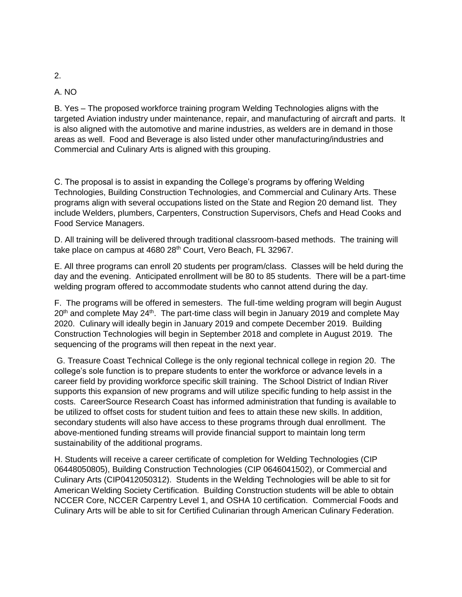## A. NO

B. Yes – The proposed workforce training program Welding Technologies aligns with the targeted Aviation industry under maintenance, repair, and manufacturing of aircraft and parts. It is also aligned with the automotive and marine industries, as welders are in demand in those areas as well. Food and Beverage is also listed under other manufacturing/industries and Commercial and Culinary Arts is aligned with this grouping.

C. The proposal is to assist in expanding the College's programs by offering Welding Technologies, Building Construction Technologies, and Commercial and Culinary Arts. These programs align with several occupations listed on the State and Region 20 demand list. They include Welders, plumbers, Carpenters, Construction Supervisors, Chefs and Head Cooks and Food Service Managers.

D. All training will be delivered through traditional classroom-based methods. The training will take place on campus at 4680 28<sup>th</sup> Court, Vero Beach, FL 32967.

E. All three programs can enroll 20 students per program/class. Classes will be held during the day and the evening. Anticipated enrollment will be 80 to 85 students. There will be a part-time welding program offered to accommodate students who cannot attend during the day.

F. The programs will be offered in semesters. The full-time welding program will begin August  $20<sup>th</sup>$  and complete May 24<sup>th</sup>. The part-time class will begin in January 2019 and complete May 2020. Culinary will ideally begin in January 2019 and compete December 2019. Building Construction Technologies will begin in September 2018 and complete in August 2019. The sequencing of the programs will then repeat in the next year.

G. Treasure Coast Technical College is the only regional technical college in region 20. The college's sole function is to prepare students to enter the workforce or advance levels in a career field by providing workforce specific skill training. The School District of Indian River supports this expansion of new programs and will utilize specific funding to help assist in the costs. CareerSource Research Coast has informed administration that funding is available to be utilized to offset costs for student tuition and fees to attain these new skills. In addition, secondary students will also have access to these programs through dual enrollment. The above-mentioned funding streams will provide financial support to maintain long term sustainability of the additional programs.

H. Students will receive a career certificate of completion for Welding Technologies (CIP 06448050805), Building Construction Technologies (CIP 0646041502), or Commercial and Culinary Arts (CIP0412050312). Students in the Welding Technologies will be able to sit for American Welding Society Certification. Building Construction students will be able to obtain NCCER Core, NCCER Carpentry Level 1, and OSHA 10 certification. Commercial Foods and Culinary Arts will be able to sit for Certified Culinarian through American Culinary Federation.

## 2.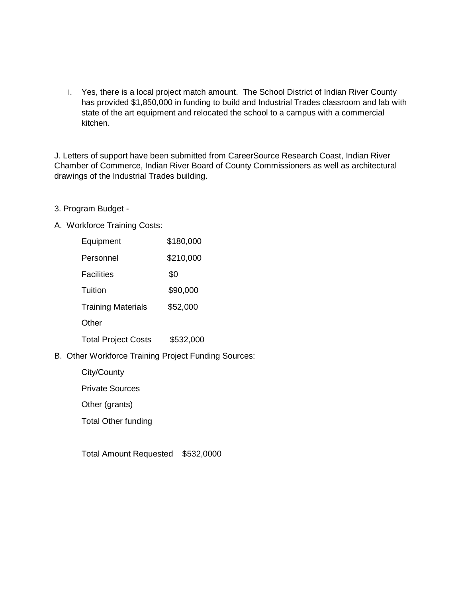I. Yes, there is a local project match amount. The School District of Indian River County has provided \$1,850,000 in funding to build and Industrial Trades classroom and lab with state of the art equipment and relocated the school to a campus with a commercial kitchen.

J. Letters of support have been submitted from CareerSource Research Coast, Indian River Chamber of Commerce, Indian River Board of County Commissioners as well as architectural drawings of the Industrial Trades building.

- 3. Program Budget -
- A. Workforce Training Costs:

| Equipment                           | \$180,000 |
|-------------------------------------|-----------|
| Personnel                           | \$210,000 |
| <b>Facilities</b>                   | \$0       |
| Tuition                             | \$90,000  |
| <b>Training Materials</b>           | \$52,000  |
| Other                               |           |
| <b>Total Project Costs</b>          | \$532,000 |
| ar Warkforce Training Project Fundi |           |

B. Other Workforce Training Project Funding Sources:

City/County

Private Sources

Other (grants)

Total Other funding

Total Amount Requested \$532,0000